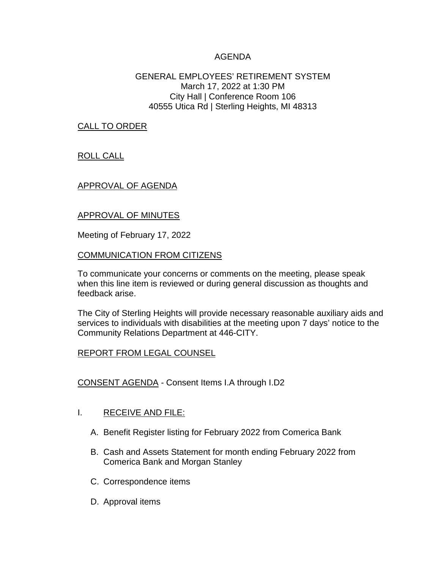## AGENDA

## GENERAL EMPLOYEES' RETIREMENT SYSTEM March 17, 2022 at 1:30 PM City Hall | Conference Room 106 40555 Utica Rd | Sterling Heights, MI 48313

CALL TO ORDER

ROLL CALL

## APPROVAL OF AGENDA

## APPROVAL OF MINUTES

Meeting of February 17, 2022

#### COMMUNICATION FROM CITIZENS

To communicate your concerns or comments on the meeting, please speak when this line item is reviewed or during general discussion as thoughts and feedback arise.

The City of Sterling Heights will provide necessary reasonable auxiliary aids and services to individuals with disabilities at the meeting upon 7 days' notice to the Community Relations Department at 446-CITY.

## REPORT FROM LEGAL COUNSEL

CONSENT AGENDA - Consent Items I.A through I.D2

## I. RECEIVE AND FILE:

- A. Benefit Register listing for February 2022 from Comerica Bank
- B. Cash and Assets Statement for month ending February 2022 from Comerica Bank and Morgan Stanley
- C. Correspondence items
- D. Approval items